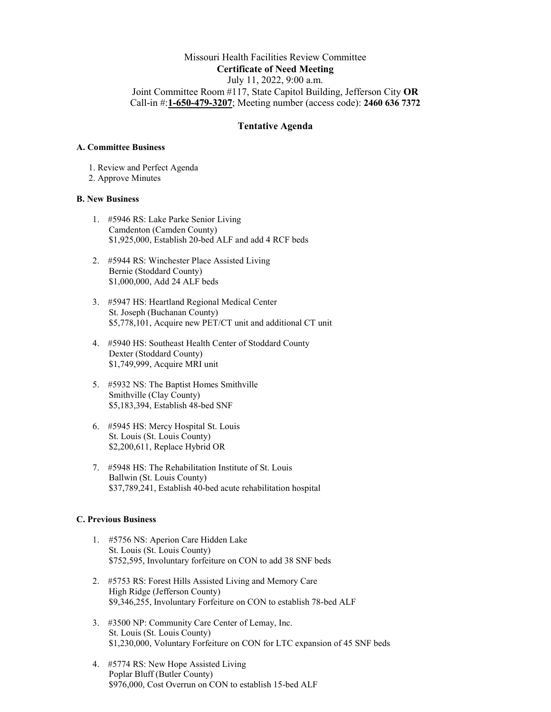# Missouri Health Facilities Review Committee **Certificate of Need Meeting** July 11, 2022, 9:00 a.m. Joint Committee Room #117, State Capitol Building, Jefferson City **OR** Call-in #:**1-650-479-3207**; Meeting number (access code): **2460 636 7372**

## **Tentative Agenda**

#### **A. Committee Business**

- 1. Review and Perfect Agenda
- 2. Approve Minutes

## **B. New Business**

- 1. #5946 RS: Lake Parke Senior Living Camdenton (Camden County) \$1,925,000, Establish 20-bed ALF and add 4 RCF beds
- 2. #5944 RS: Winchester Place Assisted Living Bernie (Stoddard County) \$1,000,000, Add 24 ALF beds
- 3. #5947 HS: Heartland Regional Medical Center St. Joseph (Buchanan County) \$5,778,101, Acquire new PET/CT unit and additional CT unit
- 4. #5940 HS: Southeast Health Center of Stoddard County Dexter (Stoddard County) \$1,749,999, Acquire MRI unit
- 5. #5932 NS: The Baptist Homes Smithville Smithville (Clay County) \$5,183,394, Establish 48-bed SNF
- 6. #5945 HS: Mercy Hospital St. Louis St. Louis (St. Louis County) \$2,200,611, Replace Hybrid OR
- 7. #5948 HS: The Rehabilitation Institute of St. Louis Ballwin (St. Louis County) \$37,789,241, Establish 40-bed acute rehabilitation hospital

## **C. Previous Business**

- 1. #5756 NS: Aperion Care Hidden Lake St. Louis (St. Louis County) \$752,595, Involuntary forfeiture on CON to add 38 SNF beds
- 2. #5753 RS: Forest Hills Assisted Living and Memory Care High Ridge (Jefferson County) \$9,346,255, Involuntary Forfeiture on CON to establish 78-bed ALF
- 3. #3500 NP: Community Care Center of Lemay, Inc. St. Louis (St. Louis County) \$1,230,000, Voluntary Forfeiture on CON for LTC expansion of 45 SNF beds
- 4. #5774 RS: New Hope Assisted Living Poplar Bluff (Butler County) \$976,000, Cost Overrun on CON to establish 15-bed ALF